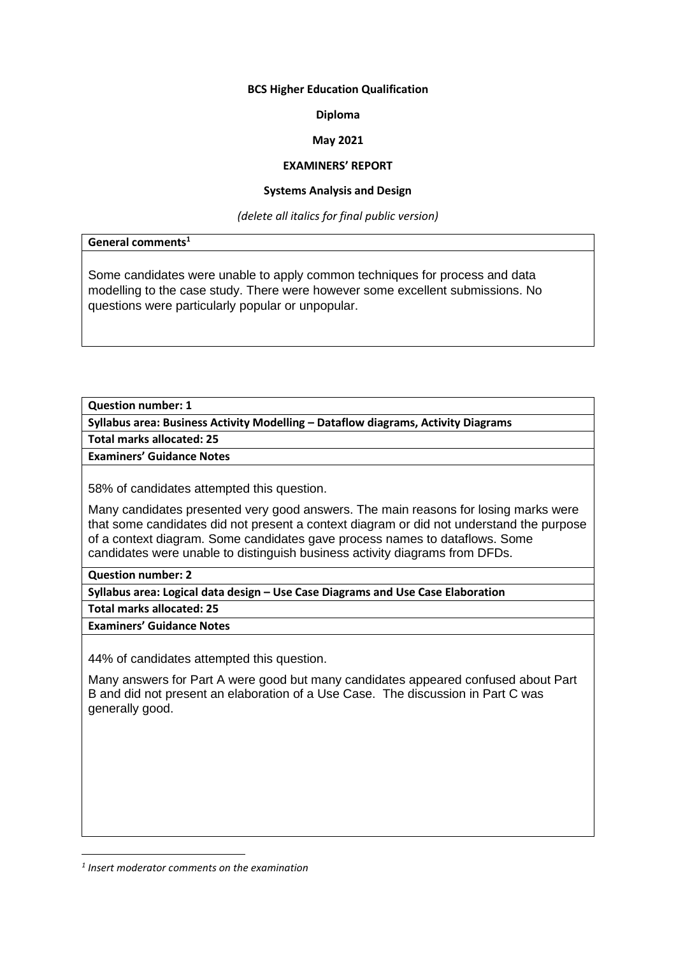### **BCS Higher Education Qualification**

### **Diploma**

# **May 2021**

# **EXAMINERS' REPORT**

# **Systems Analysis and Design**

*(delete all italics for final public version)*

**General comments<sup>1</sup>**

Some candidates were unable to apply common techniques for process and data modelling to the case study. There were however some excellent submissions. No questions were particularly popular or unpopular.

**Question number: 1**

**Syllabus area: Business Activity Modelling – Dataflow diagrams, Activity Diagrams**

**Total marks allocated: 25**

**Examiners' Guidance Notes**

58% of candidates attempted this question.

Many candidates presented very good answers. The main reasons for losing marks were that some candidates did not present a context diagram or did not understand the purpose of a context diagram. Some candidates gave process names to dataflows. Some candidates were unable to distinguish business activity diagrams from DFDs.

**Question number: 2**

**Syllabus area: Logical data design – Use Case Diagrams and Use Case Elaboration**

**Total marks allocated: 25**

**Examiners' Guidance Notes**

44% of candidates attempted this question.

Many answers for Part A were good but many candidates appeared confused about Part B and did not present an elaboration of a Use Case. The discussion in Part C was generally good.

*<sup>1</sup> Insert moderator comments on the examination*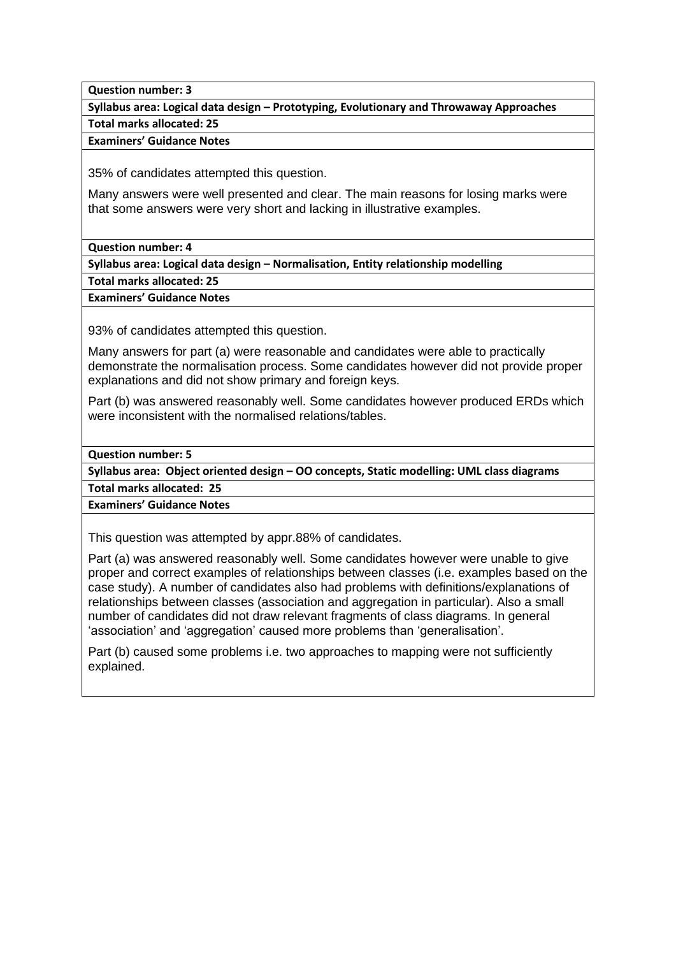**Question number: 3**

**Syllabus area: Logical data design – Prototyping, Evolutionary and Throwaway Approaches**

**Total marks allocated: 25**

**Examiners' Guidance Notes**

35% of candidates attempted this question.

Many answers were well presented and clear. The main reasons for losing marks were that some answers were very short and lacking in illustrative examples.

**Question number: 4**

**Syllabus area: Logical data design – Normalisation, Entity relationship modelling**

**Total marks allocated: 25**

**Examiners' Guidance Notes**

93% of candidates attempted this question.

Many answers for part (a) were reasonable and candidates were able to practically demonstrate the normalisation process. Some candidates however did not provide proper explanations and did not show primary and foreign keys.

Part (b) was answered reasonably well. Some candidates however produced ERDs which were inconsistent with the normalised relations/tables.

**Question number: 5**

**Syllabus area: Object oriented design – OO concepts, Static modelling: UML class diagrams**

**Total marks allocated: 25**

**Examiners' Guidance Notes**

This question was attempted by appr.88% of candidates.

Part (a) was answered reasonably well. Some candidates however were unable to give proper and correct examples of relationships between classes (i.e. examples based on the case study). A number of candidates also had problems with definitions/explanations of relationships between classes (association and aggregation in particular). Also a small number of candidates did not draw relevant fragments of class diagrams. In general 'association' and 'aggregation' caused more problems than 'generalisation'.

Part (b) caused some problems i.e. two approaches to mapping were not sufficiently explained.